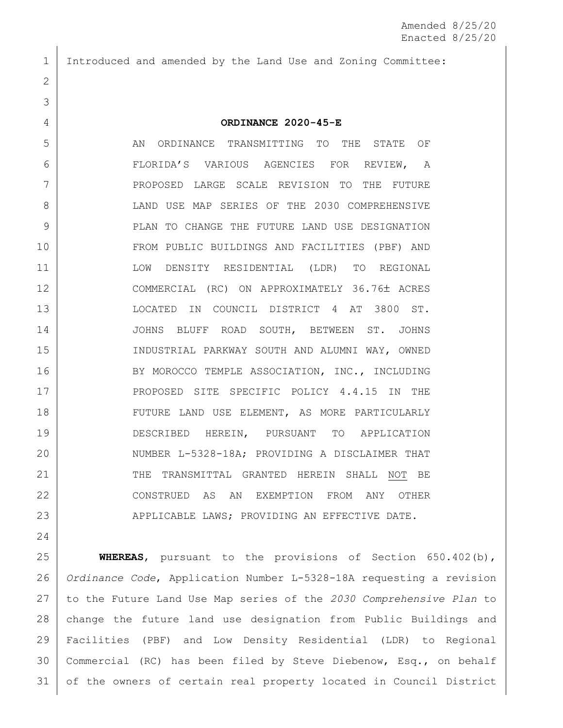Introduced and amended by the Land Use and Zoning Committee:

## **ORDINANCE 2020-45-E**

 AN ORDINANCE TRANSMITTING TO THE STATE OF FLORIDA'S VARIOUS AGENCIES FOR REVIEW, A PROPOSED LARGE SCALE REVISION TO THE FUTURE 8 LAND USE MAP SERIES OF THE 2030 COMPREHENSIVE **PLAN TO CHANGE THE FUTURE LAND USE DESIGNATION**  FROM PUBLIC BUILDINGS AND FACILITIES (PBF) AND LOW DENSITY RESIDENTIAL (LDR) TO REGIONAL 12 COMMERCIAL (RC) ON APPROXIMATELY 36.76± ACRES LOCATED IN COUNCIL DISTRICT 4 AT 3800 ST. JOHNS BLUFF ROAD SOUTH, BETWEEN ST. JOHNS INDUSTRIAL PARKWAY SOUTH AND ALUMNI WAY, OWNED 16 BY MOROCCO TEMPLE ASSOCIATION, INC., INCLUDING 17 PROPOSED SITE SPECIFIC POLICY 4.4.15 IN THE 18 | FUTURE LAND USE ELEMENT, AS MORE PARTICULARLY DESCRIBED HEREIN, PURSUANT TO APPLICATION 20 NUMBER L-5328-18A; PROVIDING A DISCLAIMER THAT 21 THE TRANSMITTAL GRANTED HEREIN SHALL NOT BE CONSTRUED AS AN EXEMPTION FROM ANY OTHER 23 APPLICABLE LAWS; PROVIDING AN EFFECTIVE DATE.

 **WHEREAS**, pursuant to the provisions of Section 650.402(b), *Ordinance Code*, Application Number L-5328-18A requesting a revision to the Future Land Use Map series of the *2030 Comprehensive Plan* to change the future land use designation from Public Buildings and Facilities (PBF) and Low Density Residential (LDR) to Regional Commercial (RC) has been filed by Steve Diebenow, Esq., on behalf of the owners of certain real property located in Council District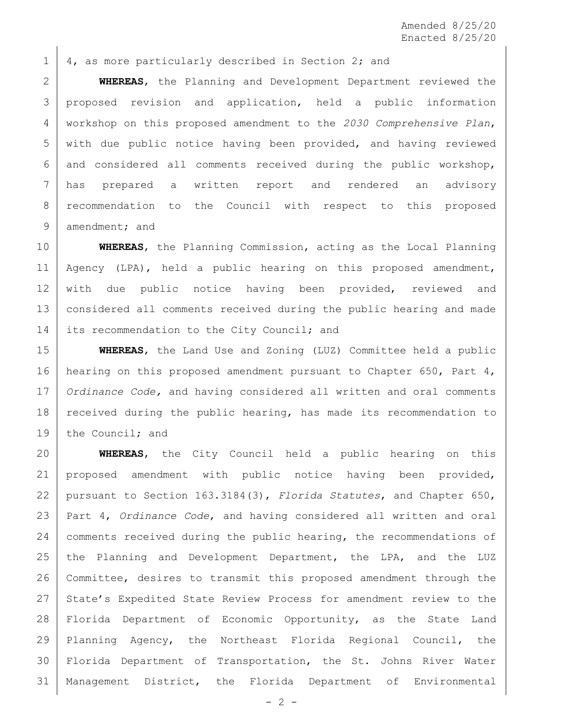Amended 8/25/20 Enacted 8/25/20

 $1 \mid 4$ , as more particularly described in Section 2; and

 **WHEREAS**, the Planning and Development Department reviewed the 3 proposed revision and application, held a public information workshop on this proposed amendment to the *2030 Comprehensive Plan*, with due public notice having been provided, and having reviewed and considered all comments received during the public workshop, has prepared a written report and rendered an advisory recommendation to the Council with respect to this proposed 9 amendment; and

10 **WHEREAS**, the Planning Commission, acting as the Local Planning 11 | Agency (LPA), held a public hearing on this proposed amendment, 12 with due public notice having been provided, reviewed and 13 considered all comments received during the public hearing and made 14 its recommendation to the City Council; and

15 **WHEREAS**, the Land Use and Zoning (LUZ) Committee held a public 16 hearing on this proposed amendment pursuant to Chapter 650, Part 4, 17 *Ordinance Code,* and having considered all written and oral comments 18 | received during the public hearing, has made its recommendation to 19 the Council; and

 **WHEREAS**, the City Council held a public hearing on this proposed amendment with public notice having been provided, pursuant to Section 163.3184(3), *Florida Statutes*, and Chapter 650, Part 4, *Ordinance Code*, and having considered all written and oral 24 | comments received during the public hearing, the recommendations of 25 the Planning and Development Department, the LPA, and the LUZ Committee, desires to transmit this proposed amendment through the 27 State's Expedited State Review Process for amendment review to the Florida Department of Economic Opportunity, as the State Land Planning Agency, the Northeast Florida Regional Council, the Florida Department of Transportation, the St. Johns River Water Management District, the Florida Department of Environmental

 $-2 -$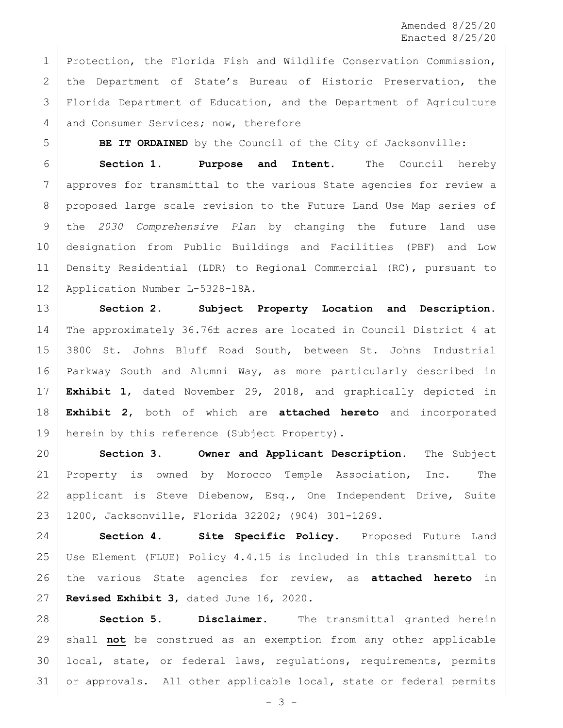1 | Protection, the Florida Fish and Wildlife Conservation Commission, 2 | the Department of State's Bureau of Historic Preservation, the Florida Department of Education, and the Department of Agriculture 4 and Consumer Services; now, therefore

**BE IT ORDAINED** by the Council of the City of Jacksonville:

 **Section 1. Purpose and Intent.** The Council hereby approves for transmittal to the various State agencies for review a proposed large scale revision to the Future Land Use Map series of the *2030 Comprehensive Plan* by changing the future land use designation from Public Buildings and Facilities (PBF) and Low Density Residential (LDR) to Regional Commercial (RC), pursuant to Application Number L-5328-18A.

 **Section 2. Subject Property Location and Description.** 14 The approximately 36.76± acres are located in Council District 4 at 3800 St. Johns Bluff Road South, between St. Johns Industrial Parkway South and Alumni Way, as more particularly described in **Exhibit 1**, dated November 29, 2018, and graphically depicted in **Exhibit 2**, both of which are **attached hereto** and incorporated 19 | herein by this reference (Subject Property).

 **Section 3. Owner and Applicant Description.** The Subject Property is owned by Morocco Temple Association, Inc. The 22 | applicant is Steve Diebenow, Esq., One Independent Drive, Suite 1200, Jacksonville, Florida 32202; (904) 301-1269.

 **Section 4. Site Specific Policy.** Proposed Future Land Use Element (FLUE) Policy 4.4.15 is included in this transmittal to the various State agencies for review, as **attached hereto** in **Revised Exhibit 3**, dated June 16, 2020.

 **Section 5. Disclaimer.** The transmittal granted herein shall **not** be construed as an exemption from any other applicable local, state, or federal laws, regulations, requirements, permits or approvals. All other applicable local, state or federal permits

- 3 -